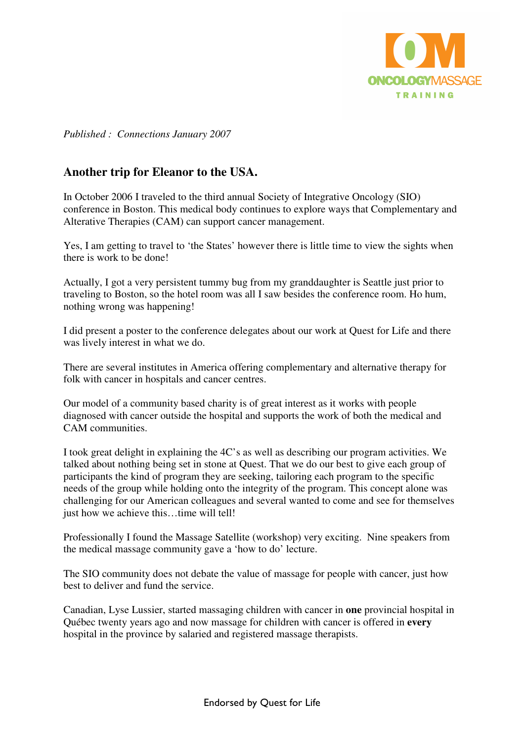

*Published : Connections January 2007* 

## **Another trip for Eleanor to the USA.**

In October 2006 I traveled to the third annual Society of Integrative Oncology (SIO) conference in Boston. This medical body continues to explore ways that Complementary and Alterative Therapies (CAM) can support cancer management.

Yes, I am getting to travel to 'the States' however there is little time to view the sights when there is work to be done!

Actually, I got a very persistent tummy bug from my granddaughter is Seattle just prior to traveling to Boston, so the hotel room was all I saw besides the conference room. Ho hum, nothing wrong was happening!

I did present a poster to the conference delegates about our work at Quest for Life and there was lively interest in what we do.

There are several institutes in America offering complementary and alternative therapy for folk with cancer in hospitals and cancer centres.

Our model of a community based charity is of great interest as it works with people diagnosed with cancer outside the hospital and supports the work of both the medical and CAM communities.

I took great delight in explaining the 4C's as well as describing our program activities. We talked about nothing being set in stone at Quest. That we do our best to give each group of participants the kind of program they are seeking, tailoring each program to the specific needs of the group while holding onto the integrity of the program. This concept alone was challenging for our American colleagues and several wanted to come and see for themselves just how we achieve this…time will tell!

Professionally I found the Massage Satellite (workshop) very exciting. Nine speakers from the medical massage community gave a 'how to do' lecture.

The SIO community does not debate the value of massage for people with cancer, just how best to deliver and fund the service.

Canadian, Lyse Lussier, started massaging children with cancer in **one** provincial hospital in Québec twenty years ago and now massage for children with cancer is offered in **every** hospital in the province by salaried and registered massage therapists.